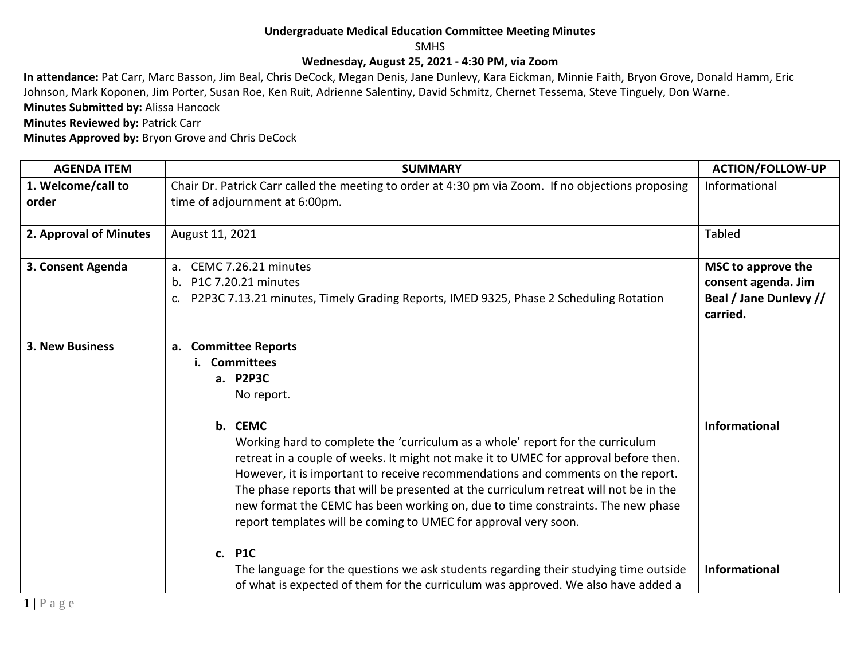## **Undergraduate Medical Education Committee Meeting Minutes**

SMHS

## **Wednesday, August 25, 2021 - 4:30 PM, via Zoom**

**In attendance:** Pat Carr, Marc Basson, Jim Beal, Chris DeCock, Megan Denis, Jane Dunlevy, Kara Eickman, Minnie Faith, Bryon Grove, Donald Hamm, Eric Johnson, Mark Koponen, Jim Porter, Susan Roe, Ken Ruit, Adrienne Salentiny, David Schmitz, Chernet Tessema, Steve Tinguely, Don Warne. **Minutes Submitted by:** Alissa Hancock

**Minutes Reviewed by: Patrick Carr** 

**Minutes Approved by:** Bryon Grove and Chris DeCock

| <b>AGENDA ITEM</b>          | <b>SUMMARY</b>                                                                                                                                                                                                                                                                                                                                                                                                                                                                                                                                                                                                                                                                                                                                                                          | <b>ACTION/FOLLOW-UP</b>                                                         |
|-----------------------------|-----------------------------------------------------------------------------------------------------------------------------------------------------------------------------------------------------------------------------------------------------------------------------------------------------------------------------------------------------------------------------------------------------------------------------------------------------------------------------------------------------------------------------------------------------------------------------------------------------------------------------------------------------------------------------------------------------------------------------------------------------------------------------------------|---------------------------------------------------------------------------------|
| 1. Welcome/call to<br>order | Chair Dr. Patrick Carr called the meeting to order at 4:30 pm via Zoom. If no objections proposing<br>time of adjournment at 6:00pm.                                                                                                                                                                                                                                                                                                                                                                                                                                                                                                                                                                                                                                                    | Informational                                                                   |
| 2. Approval of Minutes      | August 11, 2021                                                                                                                                                                                                                                                                                                                                                                                                                                                                                                                                                                                                                                                                                                                                                                         | Tabled                                                                          |
| 3. Consent Agenda           | a. CEMC 7.26.21 minutes<br>b. P1C 7.20.21 minutes<br>P2P3C 7.13.21 minutes, Timely Grading Reports, IMED 9325, Phase 2 Scheduling Rotation                                                                                                                                                                                                                                                                                                                                                                                                                                                                                                                                                                                                                                              | MSC to approve the<br>consent agenda. Jim<br>Beal / Jane Dunlevy //<br>carried. |
| 3. New Business             | a. Committee Reports<br><b>Committees</b><br>i.<br>a. P2P3C<br>No report.<br>b. CEMC<br>Working hard to complete the 'curriculum as a whole' report for the curriculum<br>retreat in a couple of weeks. It might not make it to UMEC for approval before then.<br>However, it is important to receive recommendations and comments on the report.<br>The phase reports that will be presented at the curriculum retreat will not be in the<br>new format the CEMC has been working on, due to time constraints. The new phase<br>report templates will be coming to UMEC for approval very soon.<br>c. P1C<br>The language for the questions we ask students regarding their studying time outside<br>of what is expected of them for the curriculum was approved. We also have added a | <b>Informational</b><br><b>Informational</b>                                    |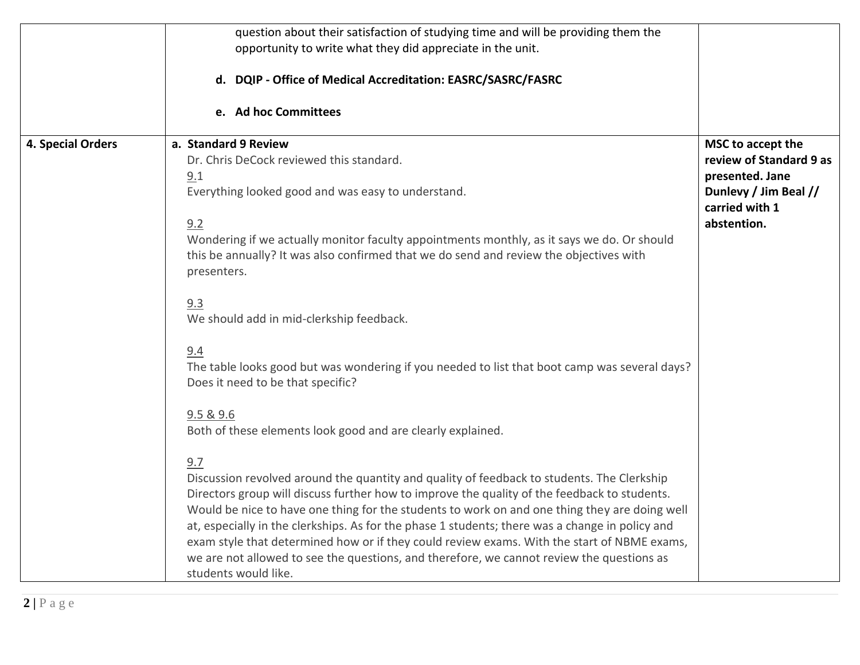|                   | question about their satisfaction of studying time and will be providing them the<br>opportunity to write what they did appreciate in the unit.                                                                                                                                                                                                                                                                                                                                                                                                                                                                                                                                                                                                                                                                                                                                                                                                                                                                                                                                                                                                                                                                              |                                                                                                                           |
|-------------------|------------------------------------------------------------------------------------------------------------------------------------------------------------------------------------------------------------------------------------------------------------------------------------------------------------------------------------------------------------------------------------------------------------------------------------------------------------------------------------------------------------------------------------------------------------------------------------------------------------------------------------------------------------------------------------------------------------------------------------------------------------------------------------------------------------------------------------------------------------------------------------------------------------------------------------------------------------------------------------------------------------------------------------------------------------------------------------------------------------------------------------------------------------------------------------------------------------------------------|---------------------------------------------------------------------------------------------------------------------------|
|                   | d. DQIP - Office of Medical Accreditation: EASRC/SASRC/FASRC                                                                                                                                                                                                                                                                                                                                                                                                                                                                                                                                                                                                                                                                                                                                                                                                                                                                                                                                                                                                                                                                                                                                                                 |                                                                                                                           |
|                   | e. Ad hoc Committees                                                                                                                                                                                                                                                                                                                                                                                                                                                                                                                                                                                                                                                                                                                                                                                                                                                                                                                                                                                                                                                                                                                                                                                                         |                                                                                                                           |
| 4. Special Orders | a. Standard 9 Review<br>Dr. Chris DeCock reviewed this standard.<br>9.1<br>Everything looked good and was easy to understand.<br>9.2<br>Wondering if we actually monitor faculty appointments monthly, as it says we do. Or should<br>this be annually? It was also confirmed that we do send and review the objectives with<br>presenters.<br>9.3<br>We should add in mid-clerkship feedback.<br>9.4<br>The table looks good but was wondering if you needed to list that boot camp was several days?<br>Does it need to be that specific?<br>9.5 & 9.6<br>Both of these elements look good and are clearly explained.<br>9.7<br>Discussion revolved around the quantity and quality of feedback to students. The Clerkship<br>Directors group will discuss further how to improve the quality of the feedback to students.<br>Would be nice to have one thing for the students to work on and one thing they are doing well<br>at, especially in the clerkships. As for the phase 1 students; there was a change in policy and<br>exam style that determined how or if they could review exams. With the start of NBME exams,<br>we are not allowed to see the questions, and therefore, we cannot review the questions as | MSC to accept the<br>review of Standard 9 as<br>presented. Jane<br>Dunlevy / Jim Beal //<br>carried with 1<br>abstention. |
|                   | students would like.                                                                                                                                                                                                                                                                                                                                                                                                                                                                                                                                                                                                                                                                                                                                                                                                                                                                                                                                                                                                                                                                                                                                                                                                         |                                                                                                                           |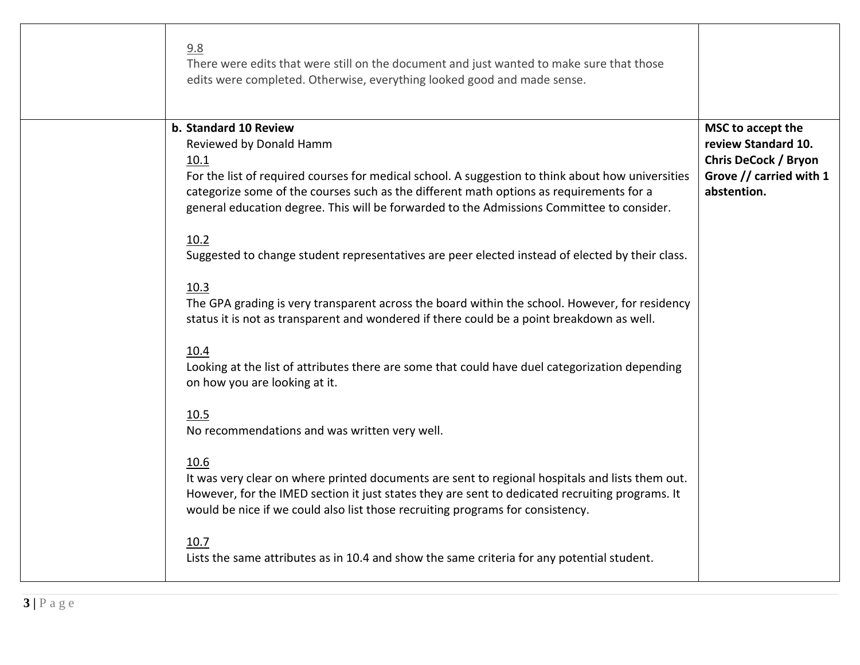| 9.8<br>There were edits that were still on the document and just wanted to make sure that those<br>edits were completed. Otherwise, everything looked good and made sense.                                                                                                                                                                                                                                                                                                                                                                                                                                                                                                                                                                                                                                                                                                                                                                                                                                                                                                                                                                                                                                                                                                        |                                                                                                                   |
|-----------------------------------------------------------------------------------------------------------------------------------------------------------------------------------------------------------------------------------------------------------------------------------------------------------------------------------------------------------------------------------------------------------------------------------------------------------------------------------------------------------------------------------------------------------------------------------------------------------------------------------------------------------------------------------------------------------------------------------------------------------------------------------------------------------------------------------------------------------------------------------------------------------------------------------------------------------------------------------------------------------------------------------------------------------------------------------------------------------------------------------------------------------------------------------------------------------------------------------------------------------------------------------|-------------------------------------------------------------------------------------------------------------------|
| b. Standard 10 Review<br>Reviewed by Donald Hamm<br>10.1<br>For the list of required courses for medical school. A suggestion to think about how universities<br>categorize some of the courses such as the different math options as requirements for a<br>general education degree. This will be forwarded to the Admissions Committee to consider.<br>10.2<br>Suggested to change student representatives are peer elected instead of elected by their class.<br>10.3<br>The GPA grading is very transparent across the board within the school. However, for residency<br>status it is not as transparent and wondered if there could be a point breakdown as well.<br>10.4<br>Looking at the list of attributes there are some that could have duel categorization depending<br>on how you are looking at it.<br>10.5<br>No recommendations and was written very well.<br>10.6<br>It was very clear on where printed documents are sent to regional hospitals and lists them out.<br>However, for the IMED section it just states they are sent to dedicated recruiting programs. It<br>would be nice if we could also list those recruiting programs for consistency.<br>10.7<br>Lists the same attributes as in 10.4 and show the same criteria for any potential student. | MSC to accept the<br>review Standard 10.<br><b>Chris DeCock / Bryon</b><br>Grove // carried with 1<br>abstention. |
|                                                                                                                                                                                                                                                                                                                                                                                                                                                                                                                                                                                                                                                                                                                                                                                                                                                                                                                                                                                                                                                                                                                                                                                                                                                                                   |                                                                                                                   |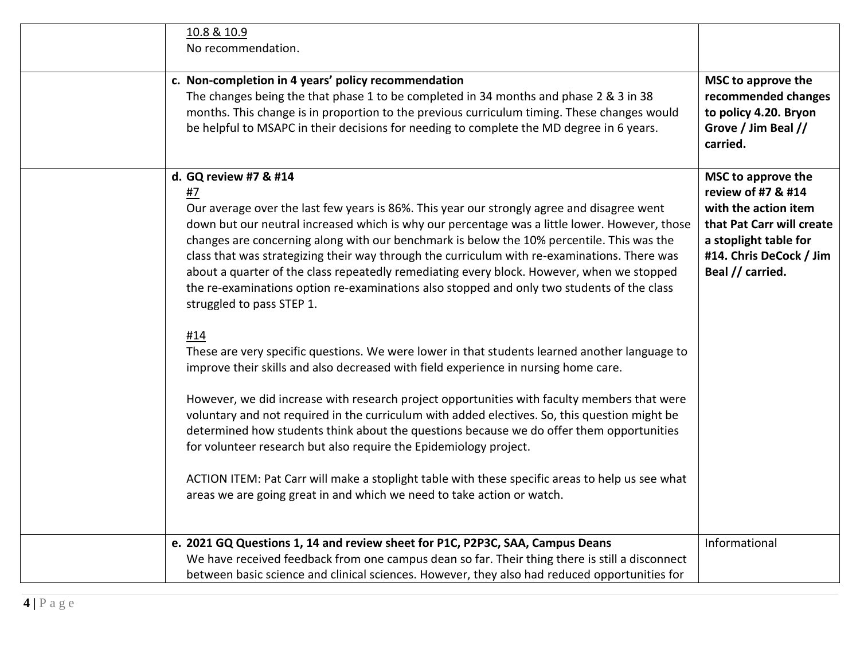| 10.8 & 10.9<br>No recommendation.                                                                                                                                                                                                                                                                                                                                                                                                                                                                                                                                                                                                                                                                                                                                                                                                                                                                                                                                                                                                                                                                                                                                                                                                                                                                                                                                                            |                                                                                                                                                                       |
|----------------------------------------------------------------------------------------------------------------------------------------------------------------------------------------------------------------------------------------------------------------------------------------------------------------------------------------------------------------------------------------------------------------------------------------------------------------------------------------------------------------------------------------------------------------------------------------------------------------------------------------------------------------------------------------------------------------------------------------------------------------------------------------------------------------------------------------------------------------------------------------------------------------------------------------------------------------------------------------------------------------------------------------------------------------------------------------------------------------------------------------------------------------------------------------------------------------------------------------------------------------------------------------------------------------------------------------------------------------------------------------------|-----------------------------------------------------------------------------------------------------------------------------------------------------------------------|
| c. Non-completion in 4 years' policy recommendation<br>The changes being the that phase 1 to be completed in 34 months and phase 2 & 3 in 38<br>months. This change is in proportion to the previous curriculum timing. These changes would<br>be helpful to MSAPC in their decisions for needing to complete the MD degree in 6 years.                                                                                                                                                                                                                                                                                                                                                                                                                                                                                                                                                                                                                                                                                                                                                                                                                                                                                                                                                                                                                                                      | MSC to approve the<br>recommended changes<br>to policy 4.20. Bryon<br>Grove / Jim Beal //<br>carried.                                                                 |
| d. GQ review #7 & #14<br>#7<br>Our average over the last few years is 86%. This year our strongly agree and disagree went<br>down but our neutral increased which is why our percentage was a little lower. However, those<br>changes are concerning along with our benchmark is below the 10% percentile. This was the<br>class that was strategizing their way through the curriculum with re-examinations. There was<br>about a quarter of the class repeatedly remediating every block. However, when we stopped<br>the re-examinations option re-examinations also stopped and only two students of the class<br>struggled to pass STEP 1.<br>#14<br>These are very specific questions. We were lower in that students learned another language to<br>improve their skills and also decreased with field experience in nursing home care.<br>However, we did increase with research project opportunities with faculty members that were<br>voluntary and not required in the curriculum with added electives. So, this question might be<br>determined how students think about the questions because we do offer them opportunities<br>for volunteer research but also require the Epidemiology project.<br>ACTION ITEM: Pat Carr will make a stoplight table with these specific areas to help us see what<br>areas we are going great in and which we need to take action or watch. | MSC to approve the<br>review of #7 & #14<br>with the action item<br>that Pat Carr will create<br>a stoplight table for<br>#14. Chris DeCock / Jim<br>Beal // carried. |
| e. 2021 GQ Questions 1, 14 and review sheet for P1C, P2P3C, SAA, Campus Deans                                                                                                                                                                                                                                                                                                                                                                                                                                                                                                                                                                                                                                                                                                                                                                                                                                                                                                                                                                                                                                                                                                                                                                                                                                                                                                                | Informational                                                                                                                                                         |
| We have received feedback from one campus dean so far. Their thing there is still a disconnect<br>between basic science and clinical sciences. However, they also had reduced opportunities for                                                                                                                                                                                                                                                                                                                                                                                                                                                                                                                                                                                                                                                                                                                                                                                                                                                                                                                                                                                                                                                                                                                                                                                              |                                                                                                                                                                       |